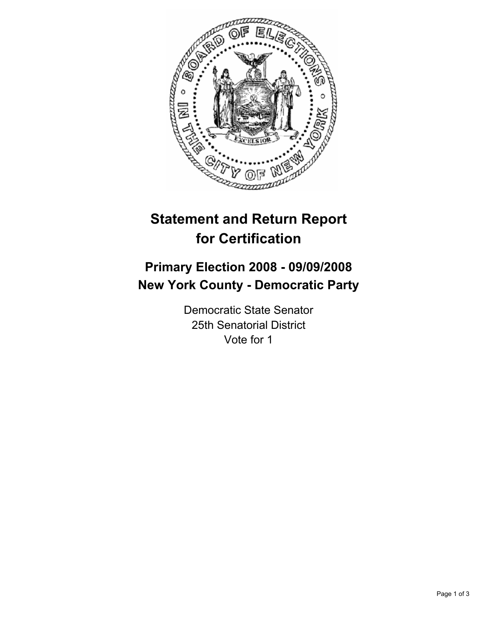

# **Statement and Return Report for Certification**

## **Primary Election 2008 - 09/09/2008 New York County - Democratic Party**

Democratic State Senator 25th Senatorial District Vote for 1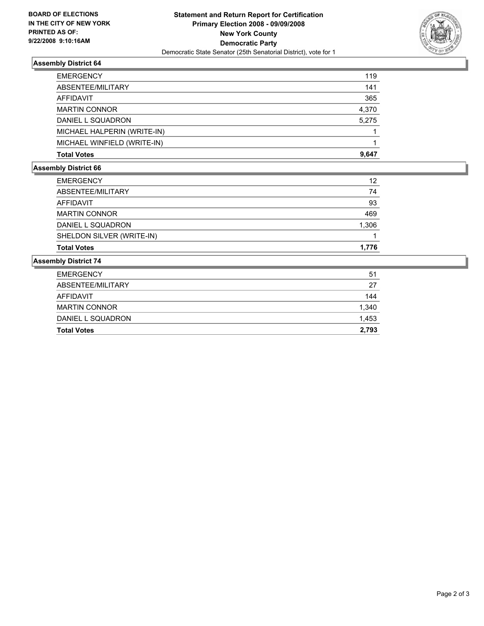

#### **Assembly District 64**

| <b>EMERGENCY</b>            | 119   |
|-----------------------------|-------|
| ABSENTEE/MILITARY           | 141   |
| AFFIDAVIT                   | 365   |
| <b>MARTIN CONNOR</b>        | 4,370 |
| DANIEL L SQUADRON           | 5,275 |
| MICHAEL HALPERIN (WRITE-IN) |       |
| MICHAEL WINFIELD (WRITE-IN) |       |
| <b>Total Votes</b>          | 9,647 |

### **Assembly District 66**

| <b>EMERGENCY</b>          | 12    |
|---------------------------|-------|
| ABSENTEE/MILITARY         | 74    |
| AFFIDAVIT                 | 93    |
| <b>MARTIN CONNOR</b>      | 469   |
| DANIEL L SQUADRON         | 1,306 |
| SHELDON SILVER (WRITE-IN) |       |
| <b>Total Votes</b>        | 1.776 |

#### **Assembly District 74**

| <b>Total Votes</b>   | 2,793 |
|----------------------|-------|
| DANIEL L SQUADRON    | 1,453 |
| <b>MARTIN CONNOR</b> | 1,340 |
| AFFIDAVIT            | 144   |
| ABSENTEE/MILITARY    | 27    |
| <b>EMERGENCY</b>     | 51    |